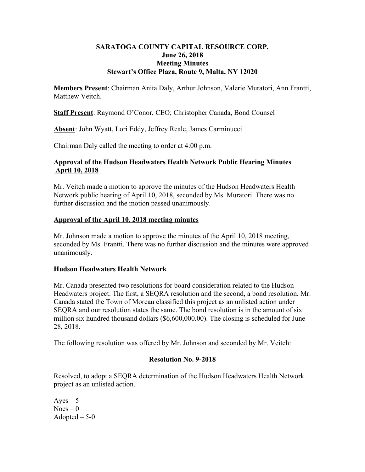#### **SARATOGA COUNTY CAPITAL RESOURCE CORP. June 26, 2018 Meeting Minutes Stewart's Office Plaza, Route 9, Malta, NY 12020**

**Members Present**: Chairman Anita Daly, Arthur Johnson, Valerie Muratori, Ann Frantti, Matthew Veitch.

**Staff Present**: Raymond O'Conor, CEO; Christopher Canada, Bond Counsel

**Absent**: John Wyatt, Lori Eddy, Jeffrey Reale, James Carminucci

Chairman Daly called the meeting to order at 4:00 p.m.

#### **Approval of the Hudson Headwaters Health Network Public Hearing Minutes April 10, 2018**

Mr. Veitch made a motion to approve the minutes of the Hudson Headwaters Health Network public hearing of April 10, 2018, seconded by Ms. Muratori. There was no further discussion and the motion passed unanimously.

#### **Approval of the April 10, 2018 meeting minutes**

Mr. Johnson made a motion to approve the minutes of the April 10, 2018 meeting, seconded by Ms. Frantti. There was no further discussion and the minutes were approved unanimously.

## **Hudson Headwaters Health Network**

Mr. Canada presented two resolutions for board consideration related to the Hudson Headwaters project. The first, a SEQRA resolution and the second, a bond resolution. Mr. Canada stated the Town of Moreau classified this project as an unlisted action under SEQRA and our resolution states the same. The bond resolution is in the amount of six million six hundred thousand dollars (\$6,600,000.00). The closing is scheduled for June 28, 2018.

The following resolution was offered by Mr. Johnson and seconded by Mr. Veitch:

## **Resolution No. 9-2018**

Resolved, to adopt a SEQRA determination of the Hudson Headwaters Health Network project as an unlisted action.

 $Aves - 5$  $Noes - 0$ Adopted  $-5-0$